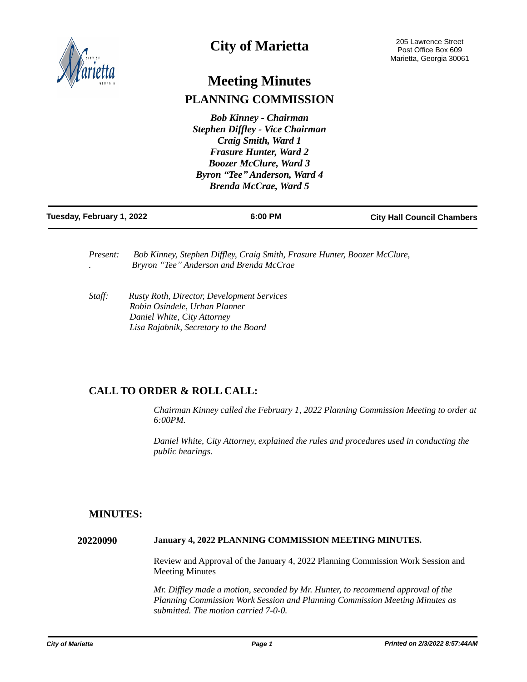

# **City of Marietta**

# **Meeting Minutes PLANNING COMMISSION**

*Bob Kinney - Chairman Stephen Diffley - Vice Chairman Craig Smith, Ward 1 Frasure Hunter, Ward 2 Boozer McClure, Ward 3 Byron "Tee" Anderson, Ward 4 Brenda McCrae, Ward 5*

| Tuesday, February 1, 2022 | 6:00 PM | <b>City Hall Council Chambers</b> |
|---------------------------|---------|-----------------------------------|
|                           |         |                                   |

*Present: Bob Kinney, Stephen Diffley, Craig Smith, Frasure Hunter, Boozer McClure, . Bryron "Tee" Anderson and Brenda McCrae* 

*Staff: Rusty Roth, Director, Development Services Robin Osindele, Urban Planner Daniel White, City Attorney Lisa Rajabnik, Secretary to the Board*

# **CALL TO ORDER & ROLL CALL:**

*Chairman Kinney called the February 1, 2022 Planning Commission Meeting to order at 6:00PM.* 

*Daniel White, City Attorney, explained the rules and procedures used in conducting the public hearings.*

# **MINUTES:**

**20220090 January 4, 2022 PLANNING COMMISSION MEETING MINUTES.**

Review and Approval of the January 4, 2022 Planning Commission Work Session and Meeting Minutes

*Mr. Diffley made a motion, seconded by Mr. Hunter, to recommend approval of the Planning Commission Work Session and Planning Commission Meeting Minutes as submitted. The motion carried 7-0-0.*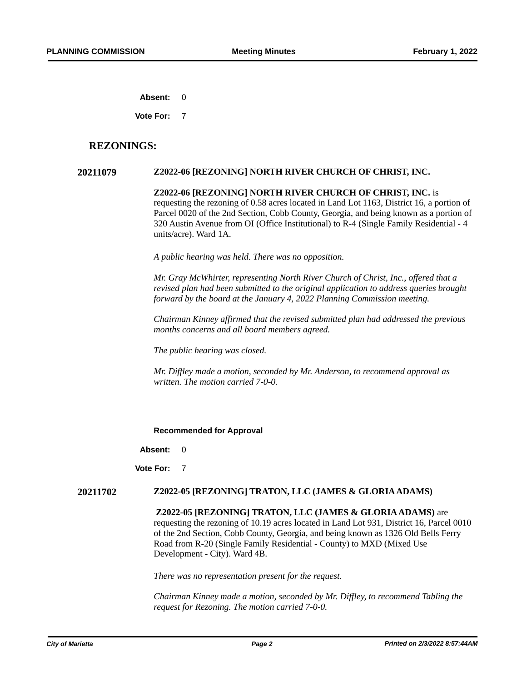**Absent:** 0

**Vote For:** 7

## **REZONINGS:**

### **20211079 Z2022-06 [REZONING] NORTH RIVER CHURCH OF CHRIST, INC.**

**Z2022-06 [REZONING] NORTH RIVER CHURCH OF CHRIST, INC.** is requesting the rezoning of 0.58 acres located in Land Lot 1163, District 16, a portion of Parcel 0020 of the 2nd Section, Cobb County, Georgia, and being known as a portion of 320 Austin Avenue from OI (Office Institutional) to R-4 (Single Family Residential - 4 units/acre). Ward 1A.

*A public hearing was held. There was no opposition.*

*Mr. Gray McWhirter, representing North River Church of Christ, Inc., offered that a revised plan had been submitted to the original application to address queries brought forward by the board at the January 4, 2022 Planning Commission meeting.* 

*Chairman Kinney affirmed that the revised submitted plan had addressed the previous months concerns and all board members agreed.* 

*The public hearing was closed.* 

*Mr. Diffley made a motion, seconded by Mr. Anderson, to recommend approval as written. The motion carried 7-0-0.* 

#### **Recommended for Approval**

**Absent:** 0

**Vote For:** 7

#### **20211702 Z2022-05 [REZONING] TRATON, LLC (JAMES & GLORIA ADAMS)**

**Z2022-05 [REZONING] TRATON, LLC (JAMES & GLORIA ADAMS)** are requesting the rezoning of 10.19 acres located in Land Lot 931, District 16, Parcel 0010 of the 2nd Section, Cobb County, Georgia, and being known as 1326 Old Bells Ferry Road from R-20 (Single Family Residential - County) to MXD (Mixed Use Development - City). Ward 4B.

*There was no representation present for the request.*

*Chairman Kinney made a motion, seconded by Mr. Diffley, to recommend Tabling the request for Rezoning. The motion carried 7-0-0.*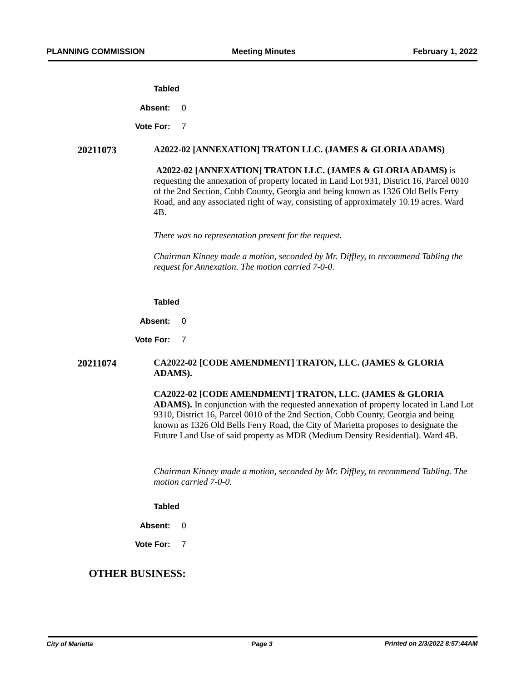#### **Tabled**

Absent: 0

**Vote For:** 7

### **20211073 A2022-02 [ANNEXATION] TRATON LLC. (JAMES & GLORIA ADAMS)**

**A2022-02 [ANNEXATION] TRATON LLC. (JAMES & GLORIA ADAMS)** is requesting the annexation of property located in Land Lot 931, District 16, Parcel 0010 of the 2nd Section, Cobb County, Georgia and being known as 1326 Old Bells Ferry Road, and any associated right of way, consisting of approximately 10.19 acres. Ward 4B.

*There was no representation present for the request.*

*Chairman Kinney made a motion, seconded by Mr. Diffley, to recommend Tabling the request for Annexation. The motion carried 7-0-0.* 

#### **Tabled**

**Absent:** 0

**Vote For:** 7

## **20211074 CA2022-02 [CODE AMENDMENT] TRATON, LLC. (JAMES & GLORIA ADAMS).**

**CA2022-02 [CODE AMENDMENT] TRATON, LLC. (JAMES & GLORIA ADAMS).** In conjunction with the requested annexation of property located in Land Lot 9310, District 16, Parcel 0010 of the 2nd Section, Cobb County, Georgia and being known as 1326 Old Bells Ferry Road, the City of Marietta proposes to designate the Future Land Use of said property as MDR (Medium Density Residential). Ward 4B.

*Chairman Kinney made a motion, seconded by Mr. Diffley, to recommend Tabling. The motion carried 7-0-0.* 

#### **Tabled**

**Absent:** 0

**Vote For:** 7

# **OTHER BUSINESS:**